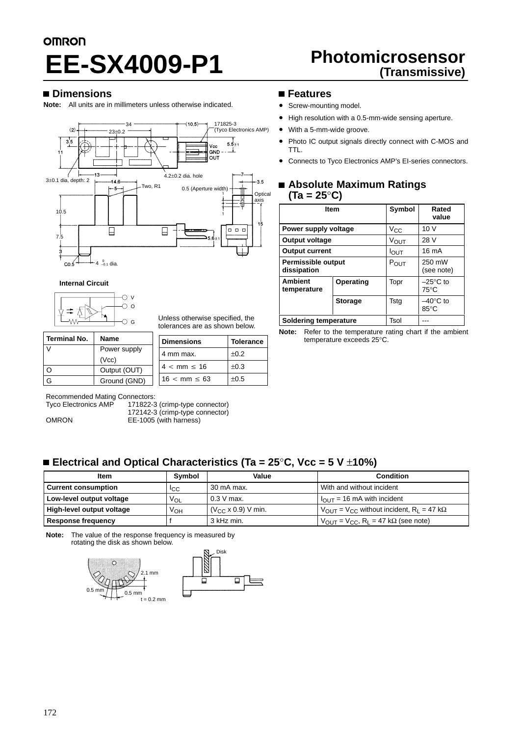# **OMRON Photomicrosensor EE-SX4009-P1 (Transmissive)**

# **Dimensions**

**Note:** All units are in millimeters unless otherwise indicated.



**Internal Circuit**



Unless otherwise specified, the tolerances are as shown below.

**Dimensions Tolerance** 4 mm max.  $\vert$   $\pm$ 0.2

 $±0.3$ 

 $±0.5$ 

| <b>Terminal No.</b> | <b>Name</b>  |  |
|---------------------|--------------|--|
|                     | Power supply |  |
|                     | (Vcc)        |  |
|                     | Output (OUT) |  |
|                     | Ground (GND) |  |

Recommended Mating Connectors:<br>Tyco Electronics AMP 171822-3

171822-3 (crimp-type connector) 172142-3 (crimp-type connector)

 $4 < mm \le 16$ 

 $16 < \text{mm} \leq 63$ 

OMRON **EE-1005** (with harness)

# **Features**

- Screw-mounting model.
- High resolution with a 0.5-mm-wide sensing aperture.
- With a 5-mm-wide groove.
- Photo IC output signals directly connect with C-MOS and TTL.
- Connects to Tyco Electronics AMP's EI-series connectors.

# **Absolute Maximum Ratings (Ta = 25**°**C)**

|                                          | <b>Item</b>    | Symbol           | Rated<br>value                       |
|------------------------------------------|----------------|------------------|--------------------------------------|
| Power supply voltage                     |                | $V_{\rm CC}$     | 10V                                  |
| Output voltage                           |                | VOUT             | 28 V                                 |
| <b>Output current</b>                    |                | $I_{\text{OUT}}$ | 16 mA                                |
| <b>Permissible output</b><br>dissipation |                | $P_{OUT}$        | 250 mW<br>(see note)                 |
| <b>Ambient</b><br>temperature            | Operating      | Topr             | $-25^{\circ}$ C to<br>$75^{\circ}$ C |
|                                          | <b>Storage</b> | Tsta             | $-40^{\circ}$ C to<br>$85^{\circ}$ C |
| Soldering temperature                    |                | Tsol             |                                      |

**Note:** Refer to the temperature rating chart if the ambient

temperature exceeds 25°C.

# **Electrical and Optical Characteristics (Ta = 25**°**C, Vcc = 5 V** ±**10%)**

| <b>Item</b>               | Symbol          | Value                        | <b>Condition</b>                                                         |
|---------------------------|-----------------|------------------------------|--------------------------------------------------------------------------|
| l Current consumption     | <sup>I</sup> CC | 30 mA max.                   | With and without incident                                                |
| Low-level output voltage  | $V_{OL}$        | $0.3$ V max.                 | $I_{\text{OUT}}$ = 16 mA with incident                                   |
| High-level output voltage | Vон             | $(V_{CC} \times 0.9)$ V min. | $V_{\text{OUT}} = V_{\text{CC}}$ without incident, $R_1 = 47$ k $\Omega$ |
| Response frequency        |                 | 3 kHz min.                   | $V_{\text{OUT}} = V_{\text{CC}}$ , R <sub>L</sub> = 47 kΩ (see note)     |

**Note:** The value of the response frequency is measured by rotating the disk as shown below.